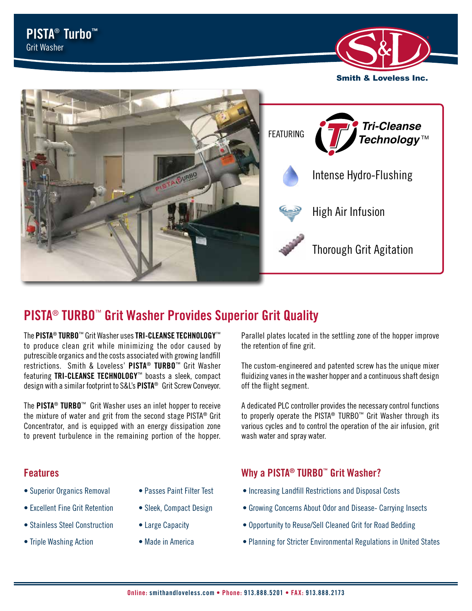



# **PISTA**® **TURBO**™ **Grit Washer Provides Superior Grit Quality**

The **PISTA**® **TURBO**™ Grit Washer uses **TRI-CLEANSE TECHNOLOGY**™ to produce clean grit while minimizing the odor caused by putrescible organics and the costs associated with growing landfill restrictions. Smith & Loveless' **PISTA**® **TURBO**™ Grit Washer featuring **TRI-CLEANSE TECHNOLOGY**™ boasts a sleek, compact design with a similar footprint to S&L's **PISTA**® Grit Screw Conveyor.

The **PISTA**® **TURBO**™ Grit Washer uses an inlet hopper to receive the mixture of water and grit from the second stage PISTA® Grit Concentrator, and is equipped with an energy dissipation zone to prevent turbulence in the remaining portion of the hopper.

- Superior Organics Removal
- Excellent Fine Grit Retention
- Stainless Steel Construction
- Triple Washing Action
- Passes Paint Filter Test
- Sleek, Compact Design
- Large Capacity
- Made in America

Parallel plates located in the settling zone of the hopper improve the retention of fine grit.

The custom-engineered and patented screw has the unique mixer fluidizing vanes in the washer hopper and a continuous shaft design off the flight segment.

A dedicated PLC controller provides the necessary control functions to properly operate the PISTA® TURBO™ Grit Washer through its various cycles and to control the operation of the air infusion, grit wash water and spray water.

## **Features Why a PISTA® TURBO™ Grit Washer?**

- Increasing Landfill Restrictions and Disposal Costs
- Growing Concerns About Odor and Disease- Carrying Insects
- Opportunity to Reuse/Sell Cleaned Grit for Road Bedding
- Planning for Stricter Environmental Regulations in United States